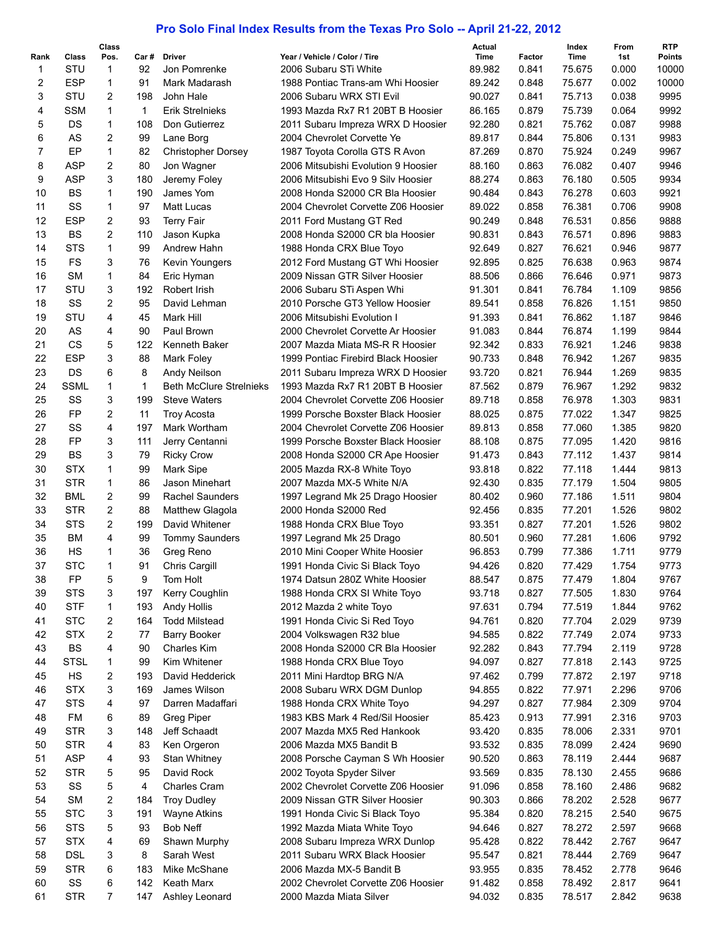## **Pro Solo Final Index Results from the Texas Pro Solo -- April 21-22, 2012**

| Rank     | Class             | Class<br>Pos.  | Car#      | <b>Driver</b>                   | Year / Vehicle / Color / Tire                                | Actual<br>Time   | Factor         | Index<br>Time    | From<br>1st    | <b>RTP</b><br>Points |
|----------|-------------------|----------------|-----------|---------------------------------|--------------------------------------------------------------|------------------|----------------|------------------|----------------|----------------------|
| 1        | STU               | 1              | 92        | Jon Pomrenke                    | 2006 Subaru STi White                                        | 89.982           | 0.841          | 75.675           | 0.000          | 10000                |
| 2        | <b>ESP</b>        | 1              | 91        | Mark Madarash                   | 1988 Pontiac Trans-am Whi Hoosier                            | 89.242           | 0.848          | 75.677           | 0.002          | 10000                |
| 3        | STU               | 2              | 198       | John Hale                       | 2006 Subaru WRX STI Evil                                     | 90.027           | 0.841          | 75.713           | 0.038          | 9995                 |
| 4        | <b>SSM</b>        | $\mathbf{1}$   | 1         | <b>Erik Streinieks</b>          | 1993 Mazda Rx7 R1 20BT B Hoosier                             | 86.165           | 0.879          | 75.739           | 0.064          | 9992                 |
| 5        | DS                | $\mathbf{1}$   | 108       | Don Gutierrez                   | 2011 Subaru Impreza WRX D Hoosier                            | 92.280           | 0.821          | 75.762           | 0.087          | 9988                 |
| 6        | AS                | 2              | 99        | Lane Borg                       | 2004 Chevrolet Corvette Ye                                   | 89.817           | 0.844          | 75.806           | 0.131          | 9983                 |
| 7        | EP                | 1              | 82        | <b>Christopher Dorsey</b>       | 1987 Toyota Corolla GTS R Avon                               | 87.269           | 0.870          | 75.924           | 0.249          | 9967                 |
| 8        | <b>ASP</b>        | 2              | 80        | Jon Wagner                      | 2006 Mitsubishi Evolution 9 Hoosier                          | 88.160           | 0.863          | 76.082           | 0.407          | 9946                 |
| 9        | <b>ASP</b>        | 3              | 180       | Jeremy Foley                    | 2006 Mitsubishi Evo 9 Silv Hoosier                           | 88.274           | 0.863          | 76.180           | 0.505          | 9934                 |
| 10       | <b>BS</b>         | 1              | 190       | James Yom                       | 2008 Honda S2000 CR Bla Hoosier                              | 90.484           | 0.843          | 76.278           | 0.603          | 9921                 |
| 11       | SS                | 1              | 97        | Matt Lucas                      | 2004 Chevrolet Corvette Z06 Hoosier                          | 89.022           | 0.858          | 76.381           | 0.706          | 9908                 |
| 12       | <b>ESP</b>        | 2              | 93        | <b>Terry Fair</b>               | 2011 Ford Mustang GT Red                                     | 90.249           | 0.848          | 76.531           | 0.856          | 9888                 |
| 13       | <b>BS</b>         | $\overline{2}$ | 110       | Jason Kupka                     | 2008 Honda S2000 CR bla Hoosier                              | 90.831           | 0.843          | 76.571           | 0.896          | 9883                 |
| 14       | <b>STS</b>        | 1              | 99        | Andrew Hahn                     | 1988 Honda CRX Blue Toyo                                     | 92.649           | 0.827          | 76.621           | 0.946          | 9877                 |
| 15       | <b>FS</b>         | 3              | 76        | Kevin Youngers                  | 2012 Ford Mustang GT Whi Hoosier                             | 92.895           | 0.825          | 76.638           | 0.963          | 9874                 |
| 16       | SМ                | 1              | 84        | Eric Hyman                      | 2009 Nissan GTR Silver Hoosier                               | 88.506           | 0.866          | 76.646           | 0.971          | 9873                 |
| 17       | STU               | 3              | 192       | Robert Irish                    | 2006 Subaru STi Aspen Whi                                    | 91.301           | 0.841          | 76.784           | 1.109          | 9856                 |
| 18       | SS                | 2              | 95        | David Lehman                    | 2010 Porsche GT3 Yellow Hoosier                              | 89.541           | 0.858          | 76.826           | 1.151          | 9850                 |
| 19       | STU               | 4              | 45        | Mark Hill                       | 2006 Mitsubishi Evolution I                                  | 91.393           | 0.841          | 76.862           | 1.187          | 9846                 |
| 20       | AS                | 4              | 90        | Paul Brown                      | 2000 Chevrolet Corvette Ar Hoosier                           | 91.083           | 0.844          | 76.874           | 1.199          | 9844                 |
| 21       | <b>CS</b>         | 5              | 122       | Kenneth Baker                   | 2007 Mazda Miata MS-R R Hoosier                              | 92.342           | 0.833          | 76.921           | 1.246          | 9838                 |
| 22       | <b>ESP</b>        | 3              | 88        | <b>Mark Foley</b>               | 1999 Pontiac Firebird Black Hoosier                          | 90.733           | 0.848          | 76.942           | 1.267          | 9835                 |
| 23       | DS                | 6              | 8         | Andy Neilson                    | 2011 Subaru Impreza WRX D Hoosier                            | 93.720           | 0.821          | 76.944           | 1.269          | 9835                 |
| 24       | <b>SSML</b>       | $\mathbf{1}$   | 1         | <b>Beth McClure Strelnieks</b>  | 1993 Mazda Rx7 R1 20BT B Hoosier                             | 87.562           | 0.879          | 76.967           | 1.292          | 9832                 |
| 25       | SS                | 3              | 199       | <b>Steve Waters</b>             | 2004 Chevrolet Corvette Z06 Hoosier                          | 89.718           | 0.858          | 76.978           | 1.303          | 9831                 |
| 26       | FP                | 2              | 11        | Troy Acosta                     | 1999 Porsche Boxster Black Hoosier                           | 88.025           | 0.875          | 77.022           | 1.347          | 9825                 |
| 27       | SS                | 4              | 197       | Mark Wortham                    | 2004 Chevrolet Corvette Z06 Hoosier                          | 89.813           | 0.858          | 77.060           | 1.385          | 9820                 |
| 28       | FP                | 3              | 111       | Jerry Centanni                  | 1999 Porsche Boxster Black Hoosier                           | 88.108           | 0.875          | 77.095           | 1.420          | 9816                 |
| 29       | <b>BS</b>         | 3              | 79        | <b>Ricky Crow</b>               | 2008 Honda S2000 CR Ape Hoosier                              | 91.473           | 0.843          | 77.112           | 1.437          | 9814                 |
| 30       | <b>STX</b>        | $\mathbf{1}$   | 99        | Mark Sipe                       | 2005 Mazda RX-8 White Toyo                                   | 93.818           | 0.822          | 77.118           | 1.444          | 9813                 |
| 31       | <b>STR</b>        | 1              | 86        | Jason Minehart                  | 2007 Mazda MX-5 White N/A                                    | 92.430           | 0.835          | 77.179           | 1.504          | 9805                 |
| 32       | <b>BML</b>        | 2              | 99        | <b>Rachel Saunders</b>          | 1997 Legrand Mk 25 Drago Hoosier                             | 80.402           | 0.960          | 77.186           | 1.511          | 9804                 |
| 33       | <b>STR</b>        | 2              | 88        | <b>Matthew Glagola</b>          | 2000 Honda S2000 Red                                         | 92.456           | 0.835          | 77.201           | 1.526          | 9802                 |
| 34       | <b>STS</b>        | $\overline{2}$ | 199       | David Whitener                  | 1988 Honda CRX Blue Toyo                                     | 93.351           | 0.827          | 77.201           | 1.526          | 9802                 |
| 35       | ВM                | 4              | 99        | <b>Tommy Saunders</b>           | 1997 Legrand Mk 25 Drago                                     | 80.501           | 0.960          | 77.281           | 1.606          | 9792                 |
| 36       | HS                | 1              | 36        | Greg Reno                       | 2010 Mini Cooper White Hoosier                               | 96.853           | 0.799          | 77.386           | 1.711          | 9779                 |
| 37       | <b>STC</b>        | $\mathbf{1}$   | 91        | Chris Cargill                   | 1991 Honda Civic Si Black Toyo                               | 94.426           | 0.820          | 77.429           | 1.754          | 9773                 |
| 38       | FP                | 5              | 9         | Tom Holt                        | 1974 Datsun 280Z White Hoosier                               | 88.547           | 0.875          | 77.479           | 1.804          | 9767                 |
| 39       | <b>STS</b>        | 3              | 197       | Kerry Coughlin                  | 1988 Honda CRX SI White Toyo                                 | 93.718           | 0.827          | 77.505           | 1.830          | 9764                 |
| 40       | <b>STF</b>        | 1              | 193       | <b>Andy Hollis</b>              | 2012 Mazda 2 white Toyo                                      | 97.631           | 0.794          | 77.519           | 1.844          | 9762                 |
| 41       | <b>STC</b>        | 2              | 164       | <b>Todd Milstead</b>            | 1991 Honda Civic Si Red Toyo                                 | 94.761           | 0.820          | 77.704           | 2.029          | 9739                 |
| 42       | <b>STX</b>        | 2              | 77        | <b>Barry Booker</b>             | 2004 Volkswagen R32 blue                                     | 94.585<br>92.282 | 0.822          | 77.749           | 2.074          | 9733                 |
| 43       | BS                | 4              | 90        | Charles Kim                     | 2008 Honda S2000 CR Bla Hoosier                              |                  | 0.843          | 77.794           | 2.119          | 9728                 |
| 44<br>45 | <b>STSL</b><br>HS | 1<br>2         | 99<br>193 | Kim Whitener<br>David Hedderick | 1988 Honda CRX Blue Toyo                                     | 94.097<br>97.462 | 0.827<br>0.799 | 77.818<br>77.872 | 2.143          | 9725<br>9718         |
|          | <b>STX</b>        | 3              | 169       | James Wilson                    | 2011 Mini Hardtop BRG N/A                                    | 94.855           | 0.822          | 77.971           | 2.197<br>2.296 | 9706                 |
| 46<br>47 | <b>STS</b>        | 4              | 97        | Darren Madaffari                | 2008 Subaru WRX DGM Dunlop                                   | 94.297           | 0.827          | 77.984           | 2.309          | 9704                 |
| 48       | FM                | 6              | 89        | Greg Piper                      | 1988 Honda CRX White Toyo<br>1983 KBS Mark 4 Red/Sil Hoosier | 85.423           | 0.913          | 77.991           | 2.316          | 9703                 |
| 49       | <b>STR</b>        | 3              | 148       | Jeff Schaadt                    | 2007 Mazda MX5 Red Hankook                                   | 93.420           | 0.835          | 78.006           | 2.331          | 9701                 |
| 50       | <b>STR</b>        | 4              | 83        | Ken Orgeron                     | 2006 Mazda MX5 Bandit B                                      | 93.532           | 0.835          | 78.099           | 2.424          | 9690                 |
| 51       | <b>ASP</b>        | 4              | 93        | <b>Stan Whitney</b>             | 2008 Porsche Cayman S Wh Hoosier                             | 90.520           | 0.863          | 78.119           | 2.444          | 9687                 |
| 52       | <b>STR</b>        | 5              | 95        | David Rock                      | 2002 Toyota Spyder Silver                                    | 93.569           | 0.835          | 78.130           | 2.455          | 9686                 |
| 53       | SS                | 5              | 4         | <b>Charles Cram</b>             | 2002 Chevrolet Corvette Z06 Hoosier                          | 91.096           | 0.858          | 78.160           | 2.486          | 9682                 |
| 54       | <b>SM</b>         | 2              | 184       | <b>Troy Dudley</b>              | 2009 Nissan GTR Silver Hoosier                               | 90.303           | 0.866          | 78.202           | 2.528          | 9677                 |
| 55       | <b>STC</b>        | 3              | 191       | <b>Wayne Atkins</b>             | 1991 Honda Civic Si Black Toyo                               | 95.384           | 0.820          | 78.215           | 2.540          | 9675                 |
| 56       | <b>STS</b>        | 5              | 93        | <b>Bob Neff</b>                 | 1992 Mazda Miata White Toyo                                  | 94.646           | 0.827          | 78.272           | 2.597          | 9668                 |
| 57       | <b>STX</b>        | 4              | 69        | Shawn Murphy                    | 2008 Subaru Impreza WRX Dunlop                               | 95.428           | 0.822          | 78.442           | 2.767          | 9647                 |
| 58       | <b>DSL</b>        | 3              | 8         | Sarah West                      | 2011 Subaru WRX Black Hoosier                                | 95.547           | 0.821          | 78.444           | 2.769          | 9647                 |
| 59       | <b>STR</b>        | 6              | 183       | Mike McShane                    | 2006 Mazda MX-5 Bandit B                                     | 93.955           | 0.835          | 78.452           | 2.778          | 9646                 |
| 60       | SS                | 6              | 142       | Keath Marx                      | 2002 Chevrolet Corvette Z06 Hoosier                          | 91.482           | 0.858          | 78.492           | 2.817          | 9641                 |
| 61       | <b>STR</b>        | 7              | 147       | Ashley Leonard                  | 2000 Mazda Miata Silver                                      | 94.032           | 0.835          | 78.517           | 2.842          | 9638                 |
|          |                   |                |           |                                 |                                                              |                  |                |                  |                |                      |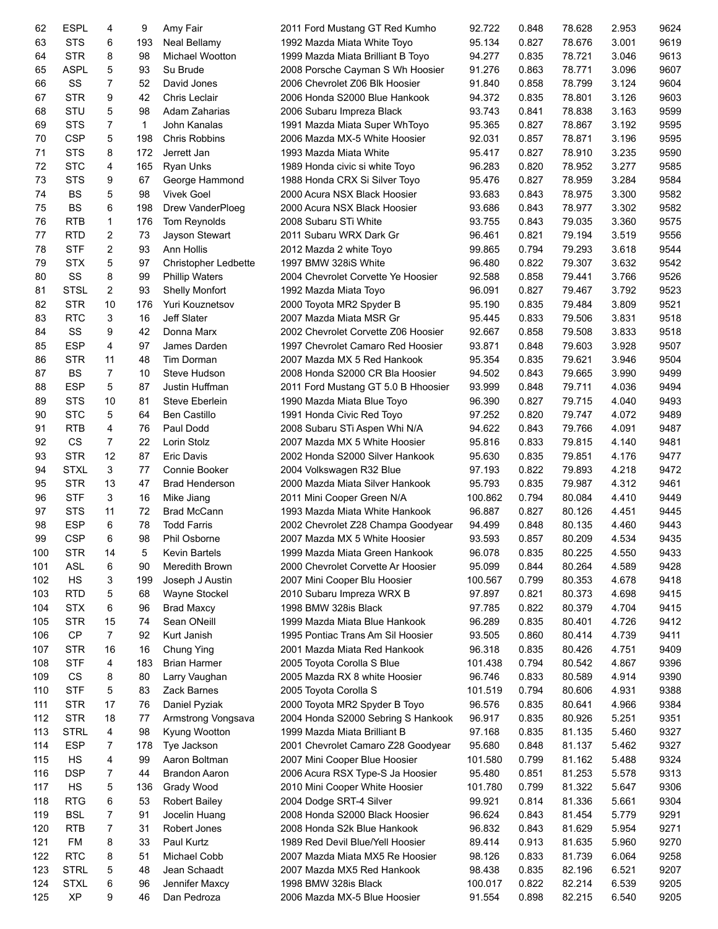| 62  | <b>ESPL</b> | 4              | 9   | Amy Fair                    | 2011 Ford Mustang GT Red Kumho      | 92.722  | 0.848 | 78.628 | 2.953 | 9624 |
|-----|-------------|----------------|-----|-----------------------------|-------------------------------------|---------|-------|--------|-------|------|
| 63  | <b>STS</b>  | 6              | 193 | <b>Neal Bellamy</b>         | 1992 Mazda Miata White Toyo         | 95.134  | 0.827 | 78.676 | 3.001 | 9619 |
| 64  | <b>STR</b>  | 8              | 98  | Michael Wootton             | 1999 Mazda Miata Brilliant B Toyo   | 94.277  | 0.835 | 78.721 | 3.046 | 9613 |
| 65  | <b>ASPL</b> | 5              | 93  | Su Brude                    | 2008 Porsche Cayman S Wh Hoosier    | 91.276  | 0.863 | 78.771 | 3.096 | 9607 |
| 66  | SS          | $\overline{7}$ | 52  | David Jones                 | 2006 Chevrolet Z06 Blk Hoosier      | 91.840  | 0.858 | 78.799 | 3.124 | 9604 |
| 67  | <b>STR</b>  | 9              | 42  | <b>Chris Leclair</b>        | 2006 Honda S2000 Blue Hankook       | 94.372  | 0.835 | 78.801 | 3.126 | 9603 |
| 68  | STU         | 5              | 98  | Adam Zaharias               | 2006 Subaru Impreza Black           | 93.743  | 0.841 | 78.838 | 3.163 | 9599 |
| 69  | <b>STS</b>  | 7              | 1   | John Kanalas                | 1991 Mazda Miata Super WhToyo       | 95.365  | 0.827 | 78.867 | 3.192 | 9595 |
| 70  | <b>CSP</b>  | 5              | 198 | <b>Chris Robbins</b>        | 2006 Mazda MX-5 White Hoosier       | 92.031  | 0.857 | 78.871 | 3.196 | 9595 |
| 71  | <b>STS</b>  | 8              | 172 | Jerrett Jan                 | 1993 Mazda Miata White              | 95.417  | 0.827 | 78.910 | 3.235 | 9590 |
| 72  | <b>STC</b>  | 4              | 165 | Ryan Unks                   | 1989 Honda civic si white Toyo      | 96.283  | 0.820 | 78.952 | 3.277 | 9585 |
| 73  | <b>STS</b>  | 9              | 67  | George Hammond              | 1988 Honda CRX Si Silver Toyo       | 95.476  | 0.827 | 78.959 | 3.284 | 9584 |
| 74  | <b>BS</b>   | 5              | 98  | <b>Vivek Goel</b>           | 2000 Acura NSX Black Hoosier        | 93.683  | 0.843 | 78.975 | 3.300 | 9582 |
| 75  | <b>BS</b>   | 6              | 198 | Drew VanderPloeg            | 2000 Acura NSX Black Hoosier        | 93.686  | 0.843 | 78.977 | 3.302 | 9582 |
| 76  | <b>RTB</b>  | 1              | 176 | Tom Reynolds                | 2008 Subaru STi White               | 93.755  | 0.843 | 79.035 | 3.360 | 9575 |
| 77  | <b>RTD</b>  | 2              | 73  | Jayson Stewart              | 2011 Subaru WRX Dark Gr             | 96.461  | 0.821 | 79.194 | 3.519 | 9556 |
| 78  | <b>STF</b>  | $\overline{c}$ | 93  | Ann Hollis                  | 2012 Mazda 2 white Toyo             | 99.865  | 0.794 | 79.293 | 3.618 | 9544 |
| 79  | <b>STX</b>  | 5              | 97  | <b>Christopher Ledbette</b> | 1997 BMW 328iS White                | 96.480  | 0.822 | 79.307 | 3.632 | 9542 |
| 80  | SS          | 8              | 99  | <b>Phillip Waters</b>       | 2004 Chevrolet Corvette Ye Hoosier  | 92.588  | 0.858 | 79.441 | 3.766 | 9526 |
| 81  | <b>STSL</b> | 2              | 93  | <b>Shelly Monfort</b>       | 1992 Mazda Miata Toyo               | 96.091  | 0.827 | 79.467 | 3.792 | 9523 |
| 82  | <b>STR</b>  | 10             | 176 | <b>Yuri Kouznetsov</b>      | 2000 Toyota MR2 Spyder B            | 95.190  | 0.835 | 79.484 | 3.809 | 9521 |
| 83  | <b>RTC</b>  | 3              | 16  | Jeff Slater                 | 2007 Mazda Miata MSR Gr             | 95.445  | 0.833 | 79.506 | 3.831 | 9518 |
| 84  | SS          | 9              | 42  | Donna Marx                  | 2002 Chevrolet Corvette Z06 Hoosier | 92.667  | 0.858 | 79.508 | 3.833 | 9518 |
| 85  | <b>ESP</b>  | 4              | 97  | James Darden                | 1997 Chevrolet Camaro Red Hoosier   | 93.871  | 0.848 | 79.603 | 3.928 | 9507 |
| 86  | <b>STR</b>  | 11             | 48  | Tim Dorman                  | 2007 Mazda MX 5 Red Hankook         | 95.354  | 0.835 | 79.621 | 3.946 | 9504 |
| 87  | <b>BS</b>   | 7              | 10  | Steve Hudson                | 2008 Honda S2000 CR Bla Hoosier     | 94.502  | 0.843 | 79.665 | 3.990 | 9499 |
| 88  | <b>ESP</b>  | 5              | 87  | Justin Huffman              | 2011 Ford Mustang GT 5.0 B Hhoosier | 93.999  | 0.848 | 79.711 | 4.036 | 9494 |
| 89  | <b>STS</b>  | 10             | 81  | Steve Eberlein              | 1990 Mazda Miata Blue Toyo          | 96.390  | 0.827 | 79.715 | 4.040 | 9493 |
| 90  | <b>STC</b>  | 5              | 64  | <b>Ben Castillo</b>         | 1991 Honda Civic Red Toyo           | 97.252  | 0.820 | 79.747 | 4.072 | 9489 |
| 91  | <b>RTB</b>  | 4              | 76  | Paul Dodd                   | 2008 Subaru STi Aspen Whi N/A       | 94.622  | 0.843 | 79.766 | 4.091 | 9487 |
| 92  | <b>CS</b>   | 7              | 22  | Lorin Stolz                 | 2007 Mazda MX 5 White Hoosier       | 95.816  | 0.833 | 79.815 | 4.140 | 9481 |
| 93  | <b>STR</b>  | 12             | 87  | <b>Eric Davis</b>           | 2002 Honda S2000 Silver Hankook     | 95.630  | 0.835 | 79.851 | 4.176 | 9477 |
| 94  | <b>STXL</b> | 3              | 77  | Connie Booker               | 2004 Volkswagen R32 Blue            | 97.193  | 0.822 | 79.893 | 4.218 | 9472 |
| 95  | <b>STR</b>  | 13             | 47  | <b>Brad Henderson</b>       | 2000 Mazda Miata Silver Hankook     | 95.793  | 0.835 | 79.987 | 4.312 | 9461 |
| 96  | <b>STF</b>  | 3              | 16  | Mike Jiang                  | 2011 Mini Cooper Green N/A          | 100.862 | 0.794 | 80.084 | 4.410 | 9449 |
| 97  | <b>STS</b>  | 11             | 72  | <b>Brad McCann</b>          | 1993 Mazda Miata White Hankook      | 96.887  | 0.827 | 80.126 | 4.451 | 9445 |
| 98  | <b>ESP</b>  | 6              | 78  | <b>Todd Farris</b>          | 2002 Chevrolet Z28 Champa Goodyear  | 94.499  | 0.848 | 80.135 | 4.460 | 9443 |
| 99  | <b>CSP</b>  | 6              | 98  | Phil Osborne                | 2007 Mazda MX 5 White Hoosier       | 93.593  | 0.857 | 80.209 | 4.534 | 9435 |
| 100 | <b>STR</b>  | 14             | 5   | <b>Kevin Bartels</b>        | 1999 Mazda Miata Green Hankook      | 96.078  | 0.835 | 80.225 | 4.550 | 9433 |
| 101 | <b>ASL</b>  | 6              | 90  | Meredith Brown              | 2000 Chevrolet Corvette Ar Hoosier  | 95.099  | 0.844 | 80.264 | 4.589 | 9428 |
| 102 | HS          | 3              | 199 | Joseph J Austin             | 2007 Mini Cooper Blu Hoosier        | 100.567 | 0.799 | 80.353 | 4.678 | 9418 |
| 103 | <b>RTD</b>  | 5              | 68  | <b>Wayne Stockel</b>        | 2010 Subaru Impreza WRX B           | 97.897  | 0.821 | 80.373 | 4.698 | 9415 |
| 104 | <b>STX</b>  | 6              | 96  | <b>Brad Maxcy</b>           | 1998 BMW 328is Black                | 97.785  | 0.822 | 80.379 | 4.704 | 9415 |
| 105 | <b>STR</b>  | 15             | 74  | Sean ONeill                 | 1999 Mazda Miata Blue Hankook       | 96.289  | 0.835 | 80.401 | 4.726 | 9412 |
| 106 | <b>CP</b>   | 7              | 92  | Kurt Janish                 | 1995 Pontiac Trans Am Sil Hoosier   | 93.505  | 0.860 | 80.414 | 4.739 | 9411 |
| 107 | <b>STR</b>  | 16             | 16  | Chung Ying                  | 2001 Mazda Miata Red Hankook        | 96.318  | 0.835 | 80.426 | 4.751 | 9409 |
| 108 | <b>STF</b>  | 4              | 183 | <b>Brian Harmer</b>         | 2005 Toyota Corolla S Blue          | 101.438 | 0.794 | 80.542 | 4.867 | 9396 |
| 109 | CS          | 8              | 80  | Larry Vaughan               | 2005 Mazda RX 8 white Hoosier       | 96.746  | 0.833 | 80.589 | 4.914 | 9390 |
| 110 | <b>STF</b>  | 5              | 83  | Zack Barnes                 | 2005 Toyota Corolla S               | 101.519 | 0.794 | 80.606 | 4.931 | 9388 |
| 111 | <b>STR</b>  | 17             | 76  | Daniel Pyziak               | 2000 Toyota MR2 Spyder B Toyo       | 96.576  | 0.835 | 80.641 | 4.966 | 9384 |
| 112 | <b>STR</b>  | 18             | 77  | Armstrong Vongsava          | 2004 Honda S2000 Sebring S Hankook  | 96.917  | 0.835 | 80.926 | 5.251 | 9351 |
| 113 | <b>STRL</b> | 4              | 98  | Kyung Wootton               | 1999 Mazda Miata Brilliant B        | 97.168  | 0.835 | 81.135 | 5.460 | 9327 |
| 114 | <b>ESP</b>  | 7              | 178 | Tye Jackson                 | 2001 Chevrolet Camaro Z28 Goodyear  | 95.680  | 0.848 | 81.137 | 5.462 | 9327 |
| 115 | HS          | 4              | 99  | Aaron Boltman               | 2007 Mini Cooper Blue Hoosier       | 101.580 | 0.799 | 81.162 | 5.488 | 9324 |
| 116 | <b>DSP</b>  | 7              | 44  | <b>Brandon Aaron</b>        | 2006 Acura RSX Type-S Ja Hoosier    | 95.480  | 0.851 | 81.253 | 5.578 | 9313 |
| 117 | HS          | 5              | 136 | Grady Wood                  | 2010 Mini Cooper White Hoosier      | 101.780 | 0.799 | 81.322 | 5.647 | 9306 |
| 118 | <b>RTG</b>  | 6              | 53  | Robert Bailey               | 2004 Dodge SRT-4 Silver             | 99.921  | 0.814 | 81.336 | 5.661 | 9304 |
| 119 | <b>BSL</b>  | 7              | 91  | Jocelin Huang               | 2008 Honda S2000 Black Hoosier      | 96.624  | 0.843 | 81.454 | 5.779 | 9291 |
| 120 | <b>RTB</b>  | 7              | 31  | Robert Jones                | 2008 Honda S2k Blue Hankook         | 96.832  | 0.843 | 81.629 | 5.954 | 9271 |
| 121 | FM          | 8              | 33  | Paul Kurtz                  | 1989 Red Devil Blue/Yell Hoosier    | 89.414  | 0.913 | 81.635 | 5.960 | 9270 |
| 122 | <b>RTC</b>  | 8              | 51  | Michael Cobb                | 2007 Mazda Miata MX5 Re Hoosier     | 98.126  | 0.833 | 81.739 | 6.064 | 9258 |
| 123 | STRL        | 5              | 48  | Jean Schaadt                | 2007 Mazda MX5 Red Hankook          | 98.438  | 0.835 | 82.196 | 6.521 | 9207 |
| 124 | <b>STXL</b> | 6              | 96  | Jennifer Maxcy              | 1998 BMW 328is Black                | 100.017 | 0.822 | 82.214 | 6.539 | 9205 |
| 125 | XP          | 9              | 46  | Dan Pedroza                 | 2006 Mazda MX-5 Blue Hoosier        | 91.554  | 0.898 | 82.215 | 6.540 | 9205 |